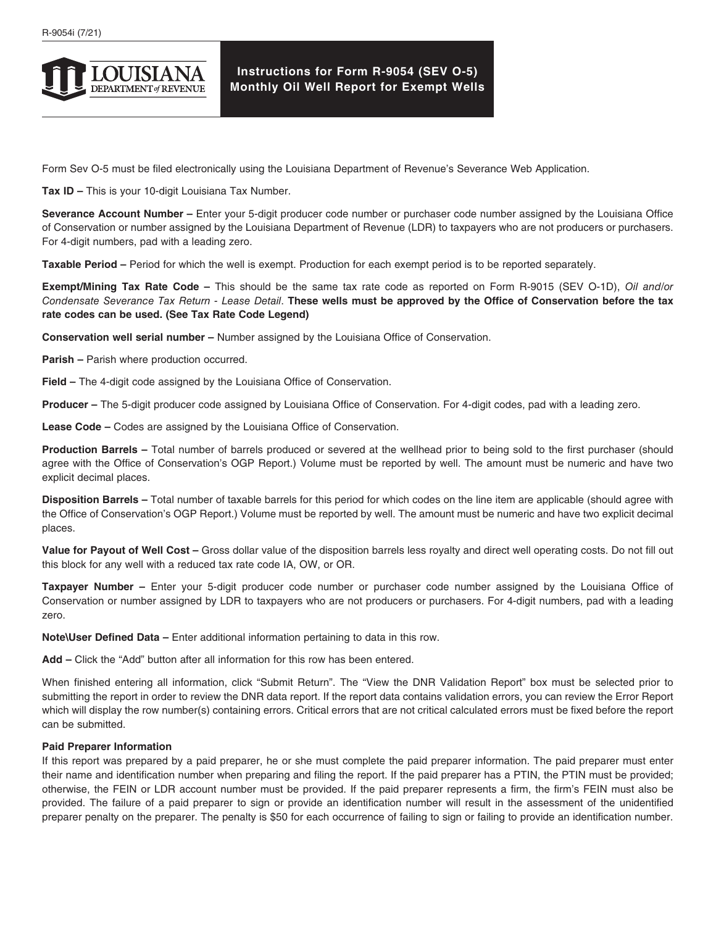

## **Instructions for Form R-9054 (SEV O-5) Monthly Oil Well Report for Exempt Wells**

Form Sev O-5 must be filed electronically using the Louisiana Department of Revenue's Severance Web Application.

**Tax ID –** This is your 10-digit Louisiana Tax Number.

**Severance Account Number –** Enter your 5-digit producer code number or purchaser code number assigned by the Louisiana Office of Conservation or number assigned by the Louisiana Department of Revenue (LDR) to taxpayers who are not producers or purchasers. For 4-digit numbers, pad with a leading zero.

**Taxable Period –** Period for which the well is exempt. Production for each exempt period is to be reported separately.

**Exempt/Mining Tax Rate Code –** This should be the same tax rate code as reported on Form R-9015 (SEV O-1D), *Oil and/or Condensate Severance Tax Return - Lease Detail*. **These wells must be approved by the Office of Conservation before the tax rate codes can be used. (See Tax Rate Code Legend)**

**Conservation well serial number –** Number assigned by the Louisiana Office of Conservation.

**Parish –** Parish where production occurred.

**Field –** The 4-digit code assigned by the Louisiana Office of Conservation.

**Producer –** The 5-digit producer code assigned by Louisiana Office of Conservation. For 4-digit codes, pad with a leading zero.

**Lease Code –** Codes are assigned by the Louisiana Office of Conservation.

**Production Barrels –** Total number of barrels produced or severed at the wellhead prior to being sold to the first purchaser (should agree with the Office of Conservation's OGP Report.) Volume must be reported by well. The amount must be numeric and have two explicit decimal places.

**Disposition Barrels –** Total number of taxable barrels for this period for which codes on the line item are applicable (should agree with the Office of Conservation's OGP Report.) Volume must be reported by well. The amount must be numeric and have two explicit decimal places.

**Value for Payout of Well Cost –** Gross dollar value of the disposition barrels less royalty and direct well operating costs. Do not fill out this block for any well with a reduced tax rate code IA, OW, or OR.

**Taxpayer Number –** Enter your 5-digit producer code number or purchaser code number assigned by the Louisiana Office of Conservation or number assigned by LDR to taxpayers who are not producers or purchasers. For 4-digit numbers, pad with a leading zero.

**Note\User Defined Data –** Enter additional information pertaining to data in this row.

**Add –** Click the "Add" button after all information for this row has been entered.

When finished entering all information, click "Submit Return". The "View the DNR Validation Report" box must be selected prior to submitting the report in order to review the DNR data report. If the report data contains validation errors, you can review the Error Report which will display the row number(s) containing errors. Critical errors that are not critical calculated errors must be fixed before the report can be submitted.

## **Paid Preparer Information**

If this report was prepared by a paid preparer, he or she must complete the paid preparer information. The paid preparer must enter their name and identification number when preparing and filing the report. If the paid preparer has a PTIN, the PTIN must be provided; otherwise, the FEIN or LDR account number must be provided. If the paid preparer represents a firm, the firm's FEIN must also be provided. The failure of a paid preparer to sign or provide an identification number will result in the assessment of the unidentified preparer penalty on the preparer. The penalty is \$50 for each occurrence of failing to sign or failing to provide an identification number.